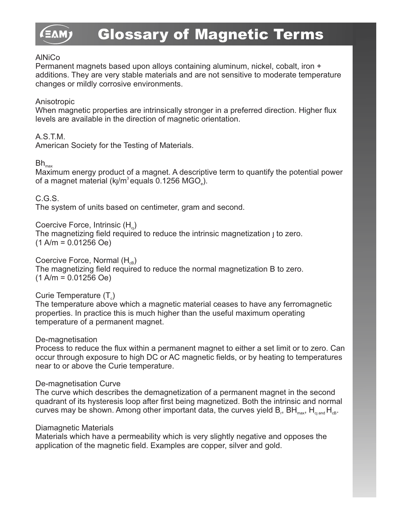### **AlNiCo**

Permanent magnets based upon alloys containing aluminum, nickel, cobalt, iron + additions. They are very stable materials and are not sensitive to moderate temperature changes or mildly corrosive environments.

### Anisotropic

When magnetic properties are intrinsically stronger in a preferred direction. Higher flux levels are available in the direction of magnetic orientation.

### A.S.T.M.

American Society for the Testing of Materials.

### $Bh_{\text{max}}$

Maximum energy product of a magnet. A descriptive term to quantify the potential power of a magnet material (k $/m^3$  equals 0.1256 MGO<sub> $s$ </sub>).

C.G.S.

The system of units based on centimeter, gram and second.

Coercive Force, Intrinsic  $(H_{\alpha})$ 

The magnetizing field required to reduce the intrinsic magnetization  $\mu$  to zero.  $(1 \text{ A/m} = 0.01256 \text{ Oe})$ 

### Coercive Force, Normal  $(H_{\alpha B})$

The magnetizing field required to reduce the normal magnetization B to zero.  $(1 \text{ A/m} = 0.01256 \text{ Oe})$ 

Curie Temperature  $(T<sub>c</sub>)$ 

The temperature above which a magnetic material ceases to have any ferromagnetic properties. In practice this is much higher than the useful maximum operating temperature of a permanent magnet.

### De-magnetisation

Process to reduce the flux within a permanent magnet to either a set limit or to zero. Can occur through exposure to high DC or AC magnetic fields, or by heating to temperatures near to or above the Curie temperature.

### De-magnetisation Curve

The curve which describes the demagnetization of a permanent magnet in the second quadrant of its hysteresis loop after first being magnetized. Both the intrinsic and normal curves may be shown. Among other important data, the curves yield B<sub>r</sub>, BH<sub>max</sub>, H<sub>e and</sub> H<sub>cB</sub>.

### Diamagnetic Materials

Materials which have a permeability which is very slightly negative and opposes the application of the magnetic field. Examples are copper, silver and gold.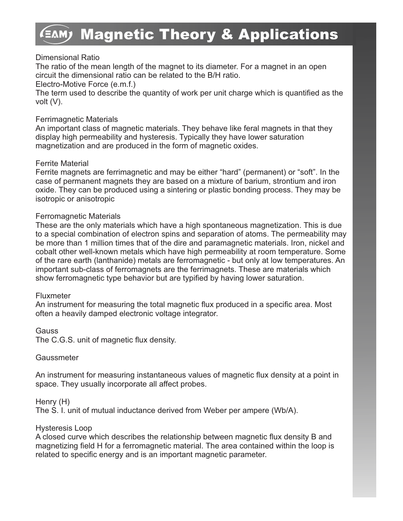# **EAM) Magnetic Theory & Applications**

### Dimensional Ratio

The ratio of the mean length of the magnet to its diameter. For a magnet in an open circuit the dimensional ratio can be related to the B/H ratio.

Electro-Motive Force (e.m.f.)

The term used to describe the quantity of work per unit charge which is quantified as the volt (V).

### Ferrimagnetic Materials

An important class of magnetic materials. They behave like feral magnets in that they display high permeability and hysteresis. Typically they have lower saturation magnetization and are produced in the form of magnetic oxides.

### Ferrite Material

Ferrite magnets are ferrimagnetic and may be either "hard" (permanent) or "soft". In the case of permanent magnets they are based on a mixture of barium, strontium and iron oxide. They can be produced using a sintering or plastic bonding process. They may be isotropic or anisotropic

### Ferromagnetic Materials

These are the only materials which have a high spontaneous magnetization. This is due to a special combination of electron spins and separation of atoms. The permeability may be more than 1 million times that of the dire and paramagnetic materials. Iron, nickel and cobalt other well-known metals which have high permeability at room temperature. Some of the rare earth (lanthanide) metals are ferromagnetic - but only at low temperatures. An important sub-class of ferromagnets are the ferrimagnets. These are materials which show ferromagnetic type behavior but are typified by having lower saturation.

### Fluxmeter

An instrument for measuring the total magnetic flux produced in a specific area. Most often a heavily damped electronic voltage integrator.

Gauss

The C.G.S. unit of magnetic flux density.

### **Gaussmeter**

An instrument for measuring instantaneous values of magnetic flux density at a point in space. They usually incorporate all affect probes.

Henry (H)

The S. I. unit of mutual inductance derived from Weber per ampere (Wb/A).

### Hysteresis Loop

A closed curve which describes the relationship between magnetic flux density B and magnetizing field H for a ferromagnetic material. The area contained within the loop is related to specific energy and is an important magnetic parameter.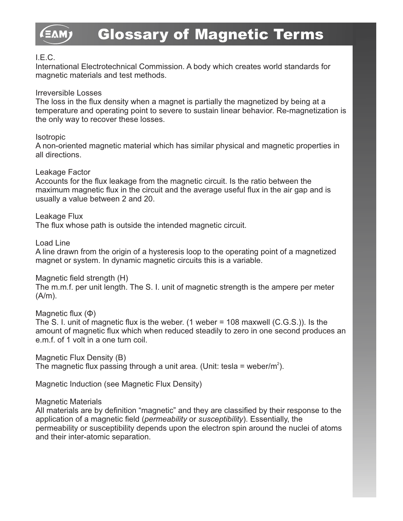

### I.E.C.

International Electrotechnical Commission. A body which creates world standards for magnetic materials and test methods.

### Irreversible Losses

The loss in the flux density when a magnet is partially the magnetized by being at a temperature and operating point to severe to sustain linear behavior. Re-magnetization is the only way to recover these losses.

### **Isotropic**

A non-oriented magnetic material which has similar physical and magnetic properties in all directions.

### Leakage Factor

Accounts for the flux leakage from the magnetic circuit. Is the ratio between the maximum magnetic flux in the circuit and the average useful flux in the air gap and is usually a value between 2 and 20.

Leakage Flux

The flux whose path is outside the intended magnetic circuit.

Load Line

A line drawn from the origin of a hysteresis loop to the operating point of a magnetized magnet or system. In dynamic magnetic circuits this is a variable.

### Magnetic field strength (H)

The m.m.f. per unit length. The S. I. unit of magnetic strength is the ampere per meter  $(A/m)$ .

Magnetic flux (Φ)

The S. I. unit of magnetic flux is the weber. (1 weber = 108 maxwell (C.G.S.)). Is the amount of magnetic flux which when reduced steadily to zero in one second produces an e.m.f. of 1 volt in a one turn coil.

Magnetic Flux Density (B) The magnetic flux passing through a unit area. (Unit: tesla = weber/m<sup>2</sup>).

Magnetic Induction (see Magnetic Flux Density)

Magnetic Materials

All materials are by definition "magnetic" and they are classified by their response to the application of a magnetic field (*permeability* or *susceptibility*). Essentially, the permeability or susceptibility depends upon the electron spin around the nuclei of atoms and their inter-atomic separation.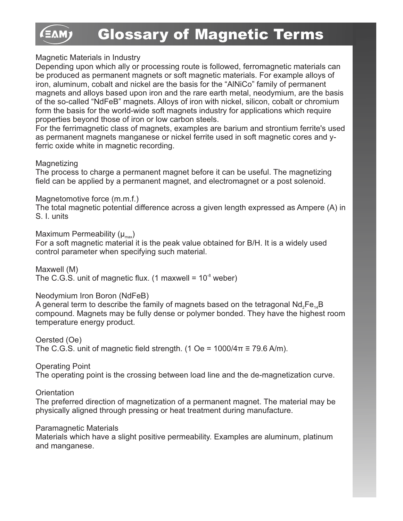### Magnetic Materials in Industry

Depending upon which ally or processing route is followed, ferromagnetic materials can be produced as permanent magnets or soft magnetic materials. For example alloys of iron, aluminum, cobalt and nickel are the basis for the "AlNiCo" family of permanent magnets and alloys based upon iron and the rare earth metal, neodymium, are the basis of the so-called "NdFeB" magnets. Alloys of iron with nickel, silicon, cobalt or chromium form the basis for the world-wide soft magnets industry for applications which require properties beyond those of iron or low carbon steels.

For the ferrimagnetic class of magnets, examples are barium and strontium ferrite's used as permanent magnets manganese or nickel ferrite used in soft magnetic cores and уferric oxide white in magnetic recording.

### **Magnetizing**

The process to charge a permanent magnet before it can be useful. The magnetizing field can be applied by a permanent magnet, and electromagnet or a post solenoid.

### Magnetomotive force (m.m.f.)

The total magnetic potential difference across a given length expressed as Ampere (A) in S. I. units

### Maximum Permeability  $(\mu_{\text{max}})$

For a soft magnetic material it is the peak value obtained for B/H. It is a widely used control parameter when specifying such material.

Maxwell (M) The C.G.S. unit of magnetic flux. (1 maxwell =  $10<sup>3</sup>$  weber)

### Neodymium Iron Boron (NdFeB)

A general term to describe the family of magnets based on the tetragonal  $Nd<sub>2</sub>Fe<sub>4</sub>B$ compound. Magnets may be fully dense or polymer bonded. They have the highest room temperature energy product.

Oersted (Oe) The C.G.S. unit of magnetic field strength. (1 Oe =  $1000/4\pi \equiv 79.6$  A/m).

Operating Point The operating point is the crossing between load line and the de-magnetization curve.

### **Orientation**

The preferred direction of magnetization of a permanent magnet. The material may be physically aligned through pressing or heat treatment during manufacture.

### Paramagnetic Materials

Materials which have a slight positive permeability. Examples are aluminum, platinum and manganese.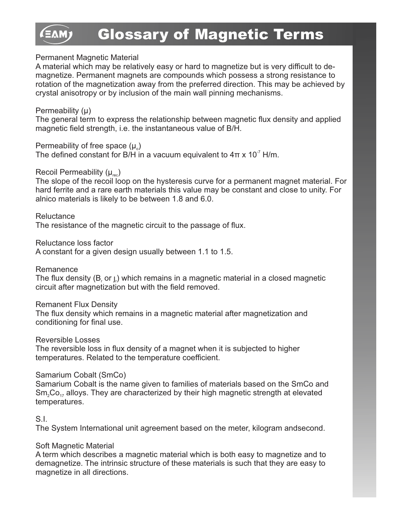### Permanent Magnetic Material

A material which may be relatively easy or hard to magnetize but is very difficult to demagnetize. Permanent magnets are compounds which possess a strong resistance to rotation of the magnetization away from the preferred direction. This may be achieved by crystal anisotropy or by inclusion of the main wall pinning mechanisms.

### Permeability (µ)

The general term to express the relationship between magnetic flux density and applied magnetic field strength, i.e. the instantaneous value of B/H.

Permeability of free space  $(\mu_{\circ})$ 

The defined constant for B/H in a vacuum equivalent to  $4\pi \times 10^{-7}$  H/m.

### Recoil Permeability  $(\mu_{rec})$

The slope of the recoil loop on the hysteresis curve for a permanent magnet material. For hard ferrite and a rare earth materials this value may be constant and close to unity. For alnico materials is likely to be between 1.8 and 6.0.

### **Reluctance**

The resistance of the magnetic circuit to the passage of flux.

Reluctance loss factor

A constant for a given design usually between 1.1 to 1.5.

Remanence

The flux density  $(B, or,)$  which remains in a magnetic material in a closed magnetic circuit after magnetization but with the field removed.

### Remanent Flux Density

The flux density which remains in a magnetic material after magnetization and conditioning for final use.

Reversible Losses

The reversible loss in flux density of a magnet when it is subjected to higher temperatures. Related to the temperature coefficient.

### Samarium Cobalt (SmCo)

Samarium Cobalt is the name given to families of materials based on the SmCo and  $Sm<sub>2</sub>Co<sub>17</sub>$  alloys. They are characterized by their high magnetic strength at elevated temperatures.

### S.I.

The System International unit agreement based on the meter, kilogram andsecond.

### Soft Magnetic Material

A term which describes a magnetic material which is both easy to magnetize and to demagnetize. The intrinsic structure of these materials is such that they are easy to magnetize in all directions.